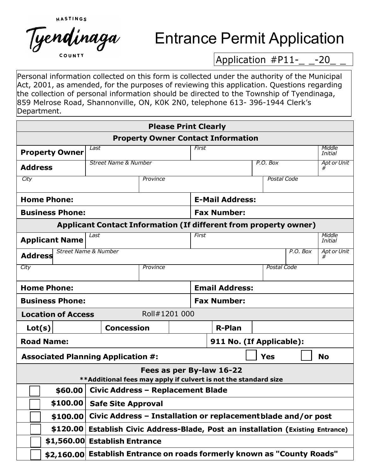

## Entrance Permit Application

Application #P11-\_ \_-20

Personal information collected on this form is collected under the authority of the Municipal Act, 2001, as amended, for the purposes of reviewing this application. Questions regarding the collection of personal information should be directed to the Township of Tyendinaga, 859 Melrose Road, Shannonville, ON, K0K 2N0, telephone 613- 396-1944 Clerk's Department.

| <b>Please Print Clearly</b>                                                                 |                                                                         |               |                       |                    |               |            |             |             |                   |
|---------------------------------------------------------------------------------------------|-------------------------------------------------------------------------|---------------|-----------------------|--------------------|---------------|------------|-------------|-------------|-------------------|
| <b>Property Owner Contact Information</b>                                                   |                                                                         |               |                       |                    |               |            |             |             |                   |
| <b>Property Owner</b>                                                                       | Last                                                                    |               |                       | First              |               |            |             |             | Middle<br>Initial |
| <b>Address</b>                                                                              | Street Name & Number                                                    |               |                       |                    | P.O. Box      |            |             | Apt or Unit |                   |
| City                                                                                        |                                                                         | Province      |                       | <b>Postal Code</b> |               |            |             |             |                   |
| <b>Home Phone:</b>                                                                          | <b>E-Mail Address:</b>                                                  |               |                       |                    |               |            |             |             |                   |
| <b>Business Phone:</b>                                                                      |                                                                         |               |                       | <b>Fax Number:</b> |               |            |             |             |                   |
| <b>Applicant Contact Information (If different from property owner)</b>                     |                                                                         |               |                       |                    |               |            |             |             |                   |
| <b>Applicant Name</b>                                                                       | Last                                                                    |               |                       | First              |               |            |             |             | Middle<br>Initial |
| <b>Address</b>                                                                              | <b>Street Name &amp; Number</b>                                         |               |                       |                    |               |            |             | P.O. Box    | Apt or Unit       |
| City                                                                                        | Province                                                                |               |                       |                    |               |            | Postal Code |             |                   |
|                                                                                             |                                                                         |               |                       |                    |               |            |             |             |                   |
| <b>Home Phone:</b>                                                                          |                                                                         |               | <b>Email Address:</b> |                    |               |            |             |             |                   |
| <b>Business Phone:</b>                                                                      |                                                                         |               |                       | <b>Fax Number:</b> |               |            |             |             |                   |
| <b>Location of Access</b>                                                                   |                                                                         | Roll#1201 000 |                       |                    |               |            |             |             |                   |
| Lot(s)                                                                                      | <b>Concession</b>                                                       |               |                       |                    | <b>R-Plan</b> |            |             |             |                   |
| <b>Road Name:</b>                                                                           | 911 No. (If Applicable):                                                |               |                       |                    |               |            |             |             |                   |
| <b>Associated Planning Application #:</b>                                                   |                                                                         |               |                       |                    |               | <b>Yes</b> |             |             | <b>No</b>         |
| Fees as per By-law 16-22<br>**Additional fees may apply if culvert is not the standard size |                                                                         |               |                       |                    |               |            |             |             |                   |
| \$60.00                                                                                     | <b>Civic Address - Replacement Blade</b>                                |               |                       |                    |               |            |             |             |                   |
| \$100.00                                                                                    | <b>Safe Site Approval</b>                                               |               |                       |                    |               |            |             |             |                   |
| \$100.00                                                                                    | Civic Address - Installation or replacement blade and/or post           |               |                       |                    |               |            |             |             |                   |
| \$120.00                                                                                    | Establish Civic Address-Blade, Post an installation (Existing Entrance) |               |                       |                    |               |            |             |             |                   |
| \$1,560.00 Establish Entrance                                                               |                                                                         |               |                       |                    |               |            |             |             |                   |
|                                                                                             | \$2,160.00 Establish Entrance on roads formerly known as "County Roads" |               |                       |                    |               |            |             |             |                   |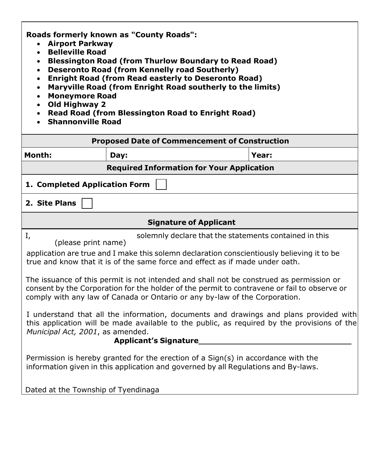**Roads formerly known as "County Roads":** 

- **Airport Parkway**
- **Belleville Road**
- **Blessington Road (from Thurlow Boundary to Read Road)**
- **Deseronto Road (from Kennelly road Southerly)**
- **Enright Road (from Read easterly to Deseronto Road)**
- **Maryville Road (from Enright Road southerly to the limits)**
- **Moneymore Road**
- **Old Highway 2**
- **Read Road (from Blessington Road to Enright Road)**
- **Shannonville Road**

| <b>Proposed Date of Commencement of Construction</b>                                                                                                                                                                                                                                                                                                                                                                                                                                                                                                                                                                                                                                                                                                                  |                                                                                                                                                                           |       |  |  |  |
|-----------------------------------------------------------------------------------------------------------------------------------------------------------------------------------------------------------------------------------------------------------------------------------------------------------------------------------------------------------------------------------------------------------------------------------------------------------------------------------------------------------------------------------------------------------------------------------------------------------------------------------------------------------------------------------------------------------------------------------------------------------------------|---------------------------------------------------------------------------------------------------------------------------------------------------------------------------|-------|--|--|--|
| <b>Month:</b>                                                                                                                                                                                                                                                                                                                                                                                                                                                                                                                                                                                                                                                                                                                                                         | Day:                                                                                                                                                                      | Year: |  |  |  |
| <b>Required Information for Your Application</b>                                                                                                                                                                                                                                                                                                                                                                                                                                                                                                                                                                                                                                                                                                                      |                                                                                                                                                                           |       |  |  |  |
| 1. Completed Application Form                                                                                                                                                                                                                                                                                                                                                                                                                                                                                                                                                                                                                                                                                                                                         |                                                                                                                                                                           |       |  |  |  |
| 2. Site Plans                                                                                                                                                                                                                                                                                                                                                                                                                                                                                                                                                                                                                                                                                                                                                         |                                                                                                                                                                           |       |  |  |  |
|                                                                                                                                                                                                                                                                                                                                                                                                                                                                                                                                                                                                                                                                                                                                                                       | <b>Signature of Applicant</b>                                                                                                                                             |       |  |  |  |
| I,<br>solemnly declare that the statements contained in this<br>(please print name)<br>application are true and I make this solemn declaration conscientiously believing it to be<br>true and know that it is of the same force and effect as if made under oath.<br>The issuance of this permit is not intended and shall not be construed as permission or<br>consent by the Corporation for the holder of the permit to contravene or fail to observe or<br>comply with any law of Canada or Ontario or any by-law of the Corporation.<br>I understand that all the information, documents and drawings and plans provided with<br>this application will be made available to the public, as required by the provisions of the<br>Municipal Act, 2001, as amended. |                                                                                                                                                                           |       |  |  |  |
|                                                                                                                                                                                                                                                                                                                                                                                                                                                                                                                                                                                                                                                                                                                                                                       | <b>Applicant's Signature</b>                                                                                                                                              |       |  |  |  |
|                                                                                                                                                                                                                                                                                                                                                                                                                                                                                                                                                                                                                                                                                                                                                                       | Permission is hereby granted for the erection of a $Sign(s)$ in accordance with the<br>information given in this application and governed by all Regulations and By-laws. |       |  |  |  |
| Dated at the Township of Tyendinaga                                                                                                                                                                                                                                                                                                                                                                                                                                                                                                                                                                                                                                                                                                                                   |                                                                                                                                                                           |       |  |  |  |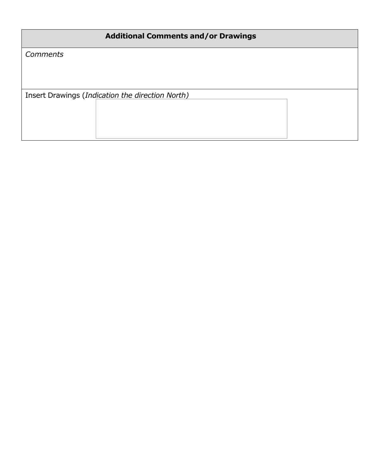| <b>Additional Comments and/or Drawings</b>       |  |  |  |  |  |
|--------------------------------------------------|--|--|--|--|--|
| <b>Comments</b>                                  |  |  |  |  |  |
|                                                  |  |  |  |  |  |
|                                                  |  |  |  |  |  |
| Insert Drawings (Indication the direction North) |  |  |  |  |  |
|                                                  |  |  |  |  |  |
|                                                  |  |  |  |  |  |
|                                                  |  |  |  |  |  |